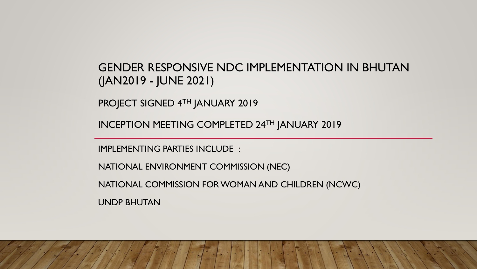UNDP BHUTAN

NATIONAL COMMISSION FOR WOMAN AND CHILDREN (NCWC)

NATIONAL ENVIRONMENT COMMISSION (NEC)

IMPLEMENTING PARTIES INCLUDE :

INCEPTION MEETING COMPLETED 24TH JANUARY 2019

PROJECT SIGNED 4TH JANUARY 2019

GENDER RESPONSIVE NDC IMPLEMENTATION IN BHUTAN (JAN2019 - JUNE 2021)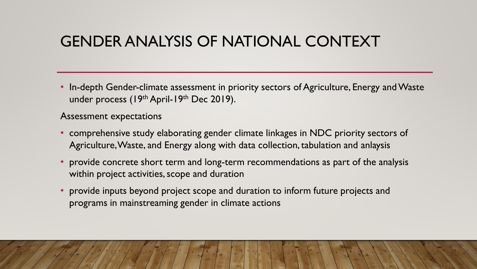# GENDER ANALYSIS OF NATIONAL CONTEXT

• In-depth Gender-climate assessment in priority sectors of Agriculture, Energy and Waste under process (19th April-19th Dec 2019).

Assessment expectations

- comprehensive study elaborating gender climate linkages in NDC priority sectors of Agriculture, Waste, and Energy along with data collection, tabulation and anlaysis
- provide concrete short term and long-term recommendations as part of the analysis within project activities, scope and duration
- provide inputs beyond project scope and duration to inform future projects and programs in mainstreaming gender in climate actions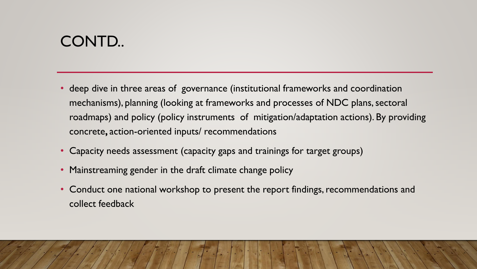# CONTD..

- deep dive in three areas of governance (institutional frameworks and coordination mechanisms), planning (looking at frameworks and processes of NDC plans, sectoral roadmaps) and policy (policy instruments of mitigation/adaptation actions). By providing concrete**,** action-oriented inputs/ recommendations
- Capacity needs assessment (capacity gaps and trainings for target groups)
- Mainstreaming gender in the draft climate change policy
- Conduct one national workshop to present the report findings, recommendations and collect feedback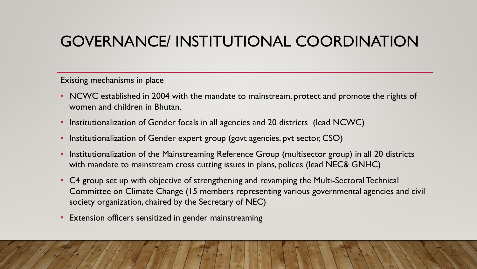# GOVERNANCE/ INSTITUTIONAL COORDINATION

Existing mechanisms in place

- NCWC established in 2004 with the mandate to mainstream, protect and promote the rights of women and children in Bhutan.
- Institutionalization of Gender focals in all agencies and 20 districts (lead NCWC)
- Institutionalization of Gender expert group (govt agencies, pvt sector, CSO)
- Institutionalization of the Mainstreaming Reference Group (multisector group) in all 20 districts with mandate to mainstream cross cutting issues in plans, polices (lead NEC& GNHC)
- C4 group set up with objective of strengthening and revamping the Multi-Sectoral Technical Committee on Climate Change (15 members representing various governmental agencies and civil society organization, chaired by the Secretary of NEC)
- Extension officers sensitized in gender mainstreaming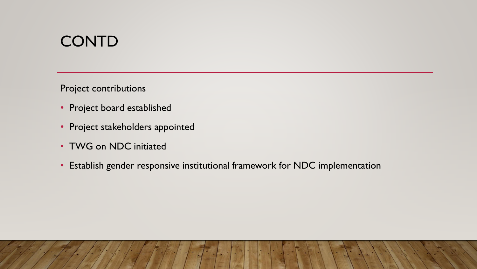### **CONTD**

Project contributions

- Project board established
- Project stakeholders appointed
- TWG on NDC initiated
- Establish gender responsive institutional framework for NDC implementation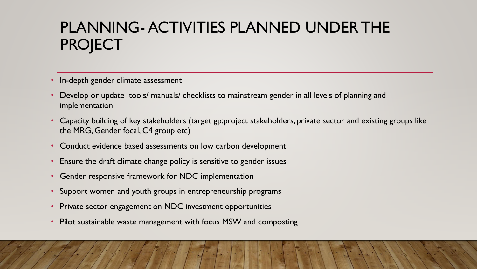# PLANNING- ACTIVITIES PLANNED UNDER THE **PROJECT**

- In-depth gender climate assessment
- Develop or update tools/ manuals/ checklists to mainstream gender in all levels of planning and implementation
- Capacity building of key stakeholders (target gp:project stakeholders, private sector and existing groups like the MRG, Gender focal, C4 group etc)
- Conduct evidence based assessments on low carbon development
- Ensure the draft climate change policy is sensitive to gender issues
- Gender responsive framework for NDC implementation
- Support women and youth groups in entrepreneurship programs
- Private sector engagement on NDC investment opportunities
- Pilot sustainable waste management with focus MSW and composting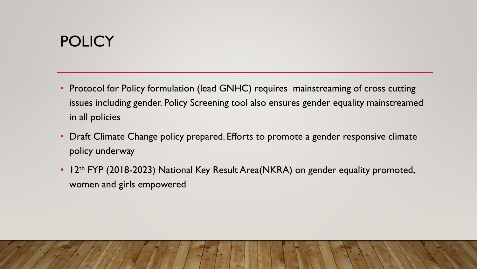# **POLICY**

- Protocol for Policy formulation (lead GNHC) requires mainstreaming of cross cutting issues including gender. Policy Screening tool also ensures gender equality mainstreamed in all policies
- Draft Climate Change policy prepared. Efforts to promote a gender responsive climate policy underway
- 12<sup>th</sup> FYP (2018-2023) National Key Result Area(NKRA) on gender equality promoted, women and girls empowered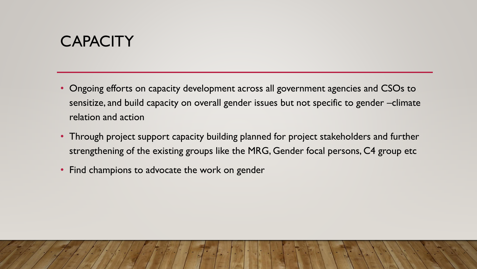# **CAPACITY**

- Ongoing efforts on capacity development across all government agencies and CSOs to sensitize, and build capacity on overall gender issues but not specific to gender –climate relation and action
- Through project support capacity building planned for project stakeholders and further strengthening of the existing groups like the MRG, Gender focal persons, C4 group etc
- Find champions to advocate the work on gender